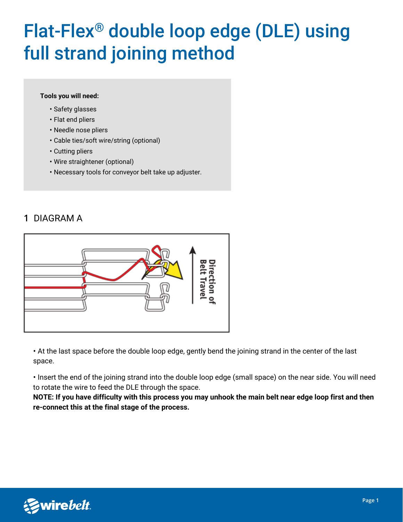# Flat-Flex® double loop edge (DLE) using full strand joining method

#### **Tools you will need:**

- Safety glasses
- Flat end pliers
- Needle nose pliers
- Cable ties/soft wire/string (optional)
- Cutting pliers
- Wire straightener (optional)
- Necessary tools for conveyor belt take up adjuster.

### **1** DIAGRAM A



• At the last space before the double loop edge, gently bend the joining strand in the center of the last space.

• Insert the end of the joining strand into the double loop edge (small space) on the near side. You will need to rotate the wire to feed the DLE through the space.

**NOTE: If you have difficulty with this process you may unhook the main belt near edge loop first and then re-connect this at the final stage of the process.**

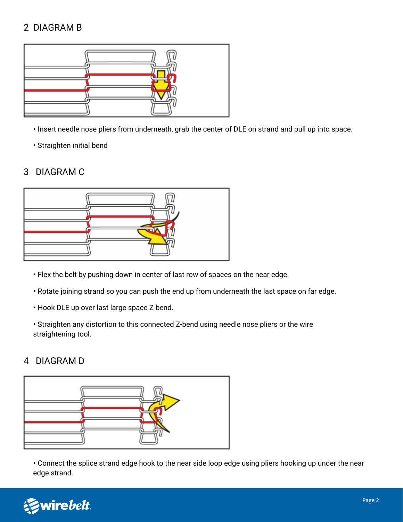## 2 DIAGRAM B



- Insert needle nose pliers from underneath, grab the center of DLE on strand and pull up into space.
- Straighten initial bend

### 3 DIAGRAM C



- Flex the belt by pushing down in center of last row of spaces on the near edge.
- Rotate joining strand so you can push the end up from underneath the last space on far edge.
- Hook DLE up over last large space Z-bend.
- Straighten any distortion to this connected Z-bend using needle nose pliers or the wire straightening tool.

#### 4 DIAGRAM D



• Connect the splice strand edge hook to the near side loop edge using pliers hooking up under the near edge strand.